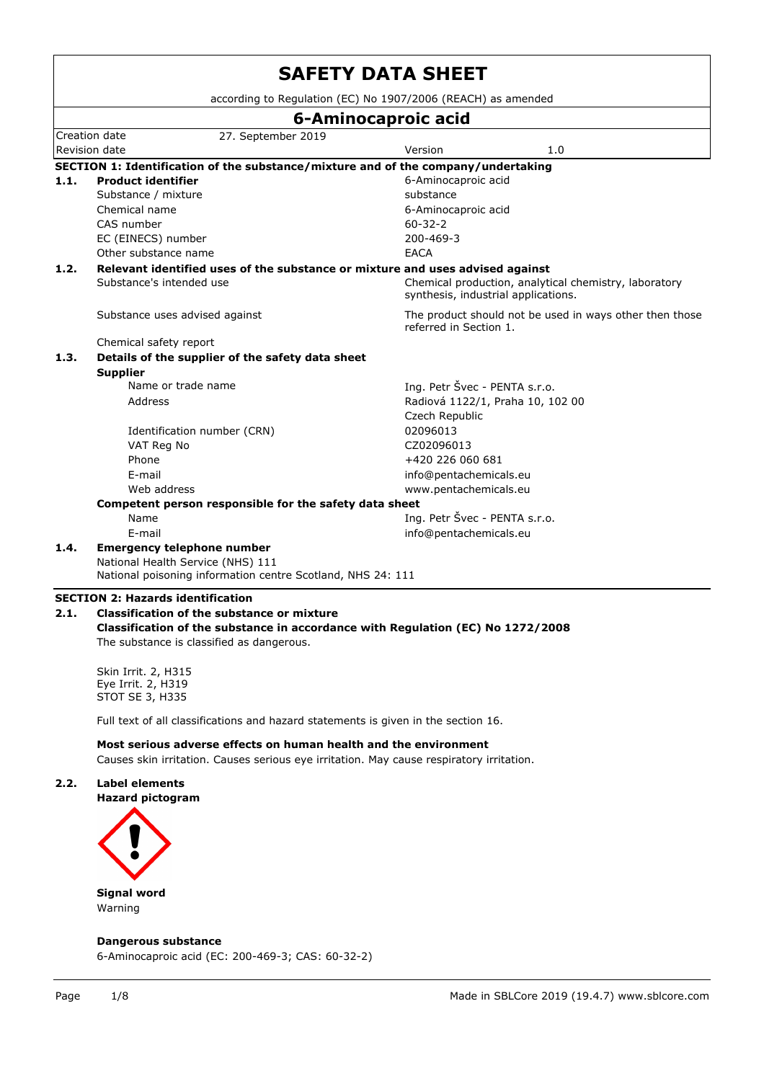|      |                                                                                                  | according to Regulation (EC) No 1907/2006 (REACH) as amended                                 |  |  |  |  |  |  |  |  |  |
|------|--------------------------------------------------------------------------------------------------|----------------------------------------------------------------------------------------------|--|--|--|--|--|--|--|--|--|
|      |                                                                                                  | 6-Aminocaproic acid                                                                          |  |  |  |  |  |  |  |  |  |
|      | Creation date<br>27. September 2019                                                              |                                                                                              |  |  |  |  |  |  |  |  |  |
|      | Revision date                                                                                    | Version<br>1.0                                                                               |  |  |  |  |  |  |  |  |  |
|      | SECTION 1: Identification of the substance/mixture and of the company/undertaking                |                                                                                              |  |  |  |  |  |  |  |  |  |
| 1.1. | <b>Product identifier</b>                                                                        | 6-Aminocaproic acid                                                                          |  |  |  |  |  |  |  |  |  |
|      | Substance / mixture                                                                              | substance                                                                                    |  |  |  |  |  |  |  |  |  |
|      | Chemical name                                                                                    | 6-Aminocaproic acid                                                                          |  |  |  |  |  |  |  |  |  |
|      | CAS number                                                                                       | $60 - 32 - 2$                                                                                |  |  |  |  |  |  |  |  |  |
|      | EC (EINECS) number                                                                               | 200-469-3                                                                                    |  |  |  |  |  |  |  |  |  |
|      | Other substance name                                                                             | <b>EACA</b>                                                                                  |  |  |  |  |  |  |  |  |  |
| 1.2. | Relevant identified uses of the substance or mixture and uses advised against                    |                                                                                              |  |  |  |  |  |  |  |  |  |
|      | Substance's intended use                                                                         | Chemical production, analytical chemistry, laboratory<br>synthesis, industrial applications. |  |  |  |  |  |  |  |  |  |
|      | Substance uses advised against                                                                   | The product should not be used in ways other then those<br>referred in Section 1.            |  |  |  |  |  |  |  |  |  |
|      | Chemical safety report                                                                           |                                                                                              |  |  |  |  |  |  |  |  |  |
| 1.3. | Details of the supplier of the safety data sheet                                                 |                                                                                              |  |  |  |  |  |  |  |  |  |
|      | <b>Supplier</b>                                                                                  |                                                                                              |  |  |  |  |  |  |  |  |  |
|      | Name or trade name                                                                               | Ing. Petr Švec - PENTA s.r.o.                                                                |  |  |  |  |  |  |  |  |  |
|      | Address                                                                                          | Radiová 1122/1, Praha 10, 102 00                                                             |  |  |  |  |  |  |  |  |  |
|      |                                                                                                  | Czech Republic                                                                               |  |  |  |  |  |  |  |  |  |
|      | Identification number (CRN)                                                                      | 02096013                                                                                     |  |  |  |  |  |  |  |  |  |
|      | VAT Reg No                                                                                       | CZ02096013                                                                                   |  |  |  |  |  |  |  |  |  |
|      | Phone                                                                                            | +420 226 060 681                                                                             |  |  |  |  |  |  |  |  |  |
|      | E-mail                                                                                           | info@pentachemicals.eu                                                                       |  |  |  |  |  |  |  |  |  |
|      | Web address                                                                                      | www.pentachemicals.eu                                                                        |  |  |  |  |  |  |  |  |  |
|      | Competent person responsible for the safety data sheet                                           |                                                                                              |  |  |  |  |  |  |  |  |  |
|      | Name                                                                                             | Ing. Petr Švec - PENTA s.r.o.                                                                |  |  |  |  |  |  |  |  |  |
|      | E-mail                                                                                           | info@pentachemicals.eu                                                                       |  |  |  |  |  |  |  |  |  |
| 1.4. | <b>Emergency telephone number</b>                                                                |                                                                                              |  |  |  |  |  |  |  |  |  |
|      | National Health Service (NHS) 111<br>National poisoning information centre Scotland, NHS 24: 111 |                                                                                              |  |  |  |  |  |  |  |  |  |

## **Classification of the substance in accordance with Regulation (EC) No 1272/2008** The substance is classified as dangerous.

Skin Irrit. 2, H315 Eye Irrit. 2, H319 STOT SE 3, H335

Full text of all classifications and hazard statements is given in the section 16.

**Most serious adverse effects on human health and the environment** Causes skin irritation. Causes serious eye irritation. May cause respiratory irritation.

## **2.2. Label elements**

**Hazard pictogram**



Warning

**Dangerous substance**

6-Aminocaproic acid (EC: 200-469-3; CAS: 60-32-2)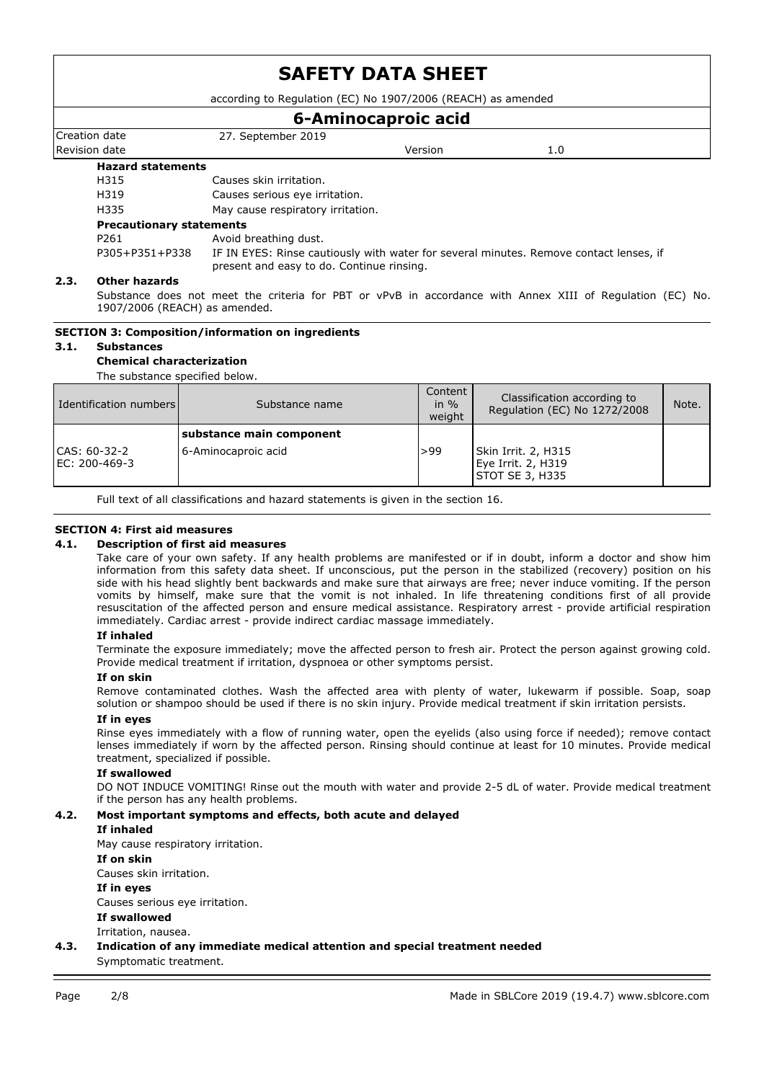according to Regulation (EC) No 1907/2006 (REACH) as amended

## **6-Aminocaproic acid**

Creation date 27. September 2019 Revision date Version 1.0

## **Hazard statements**

H315 Causes skin irritation. H319 Causes serious eye irritation. H335 May cause respiratory irritation.

### **Precautionary statements**

P261 Avoid breathing dust. P305+P351+P338 IF IN EYES: Rinse cautiously with water for several minutes. Remove contact lenses, if present and easy to do. Continue rinsing.

## **2.3. Other hazards**

Substance does not meet the criteria for PBT or vPvB in accordance with Annex XIII of Regulation (EC) No. 1907/2006 (REACH) as amended.

## **SECTION 3: Composition/information on ingredients**

## **3.1. Substances**

## **Chemical characterization**

The substance specified below.

| Identification numbers        | Substance name                                  | Content<br>in $%$<br>weight | Classification according to<br>Regulation (EC) No 1272/2008  | Note. |
|-------------------------------|-------------------------------------------------|-----------------------------|--------------------------------------------------------------|-------|
| CAS: 60-32-2<br>EC: 200-469-3 | substance main component<br>6-Aminocaproic acid | >99                         | Skin Irrit. 2, H315<br>Eye Irrit. 2, H319<br>STOT SE 3, H335 |       |

Full text of all classifications and hazard statements is given in the section 16.

## **SECTION 4: First aid measures**

### **4.1. Description of first aid measures**

Take care of your own safety. If any health problems are manifested or if in doubt, inform a doctor and show him information from this safety data sheet. If unconscious, put the person in the stabilized (recovery) position on his side with his head slightly bent backwards and make sure that airways are free; never induce vomiting. If the person vomits by himself, make sure that the vomit is not inhaled. In life threatening conditions first of all provide resuscitation of the affected person and ensure medical assistance. Respiratory arrest - provide artificial respiration immediately. Cardiac arrest - provide indirect cardiac massage immediately.

### **If inhaled**

Terminate the exposure immediately; move the affected person to fresh air. Protect the person against growing cold. Provide medical treatment if irritation, dyspnoea or other symptoms persist.

### **If on skin**

Remove contaminated clothes. Wash the affected area with plenty of water, lukewarm if possible. Soap, soap solution or shampoo should be used if there is no skin injury. Provide medical treatment if skin irritation persists.

### **If in eyes**

Rinse eyes immediately with a flow of running water, open the eyelids (also using force if needed); remove contact lenses immediately if worn by the affected person. Rinsing should continue at least for 10 minutes. Provide medical treatment, specialized if possible.

### **If swallowed**

DO NOT INDUCE VOMITING! Rinse out the mouth with water and provide 2-5 dL of water. Provide medical treatment if the person has any health problems.

## **4.2. Most important symptoms and effects, both acute and delayed**

### **If inhaled**

May cause respiratory irritation.

**If on skin**

Causes skin irritation.

## **If in eyes**

Causes serious eye irritation.

**If swallowed**

Irritation, nausea.

**4.3. Indication of any immediate medical attention and special treatment needed** Symptomatic treatment.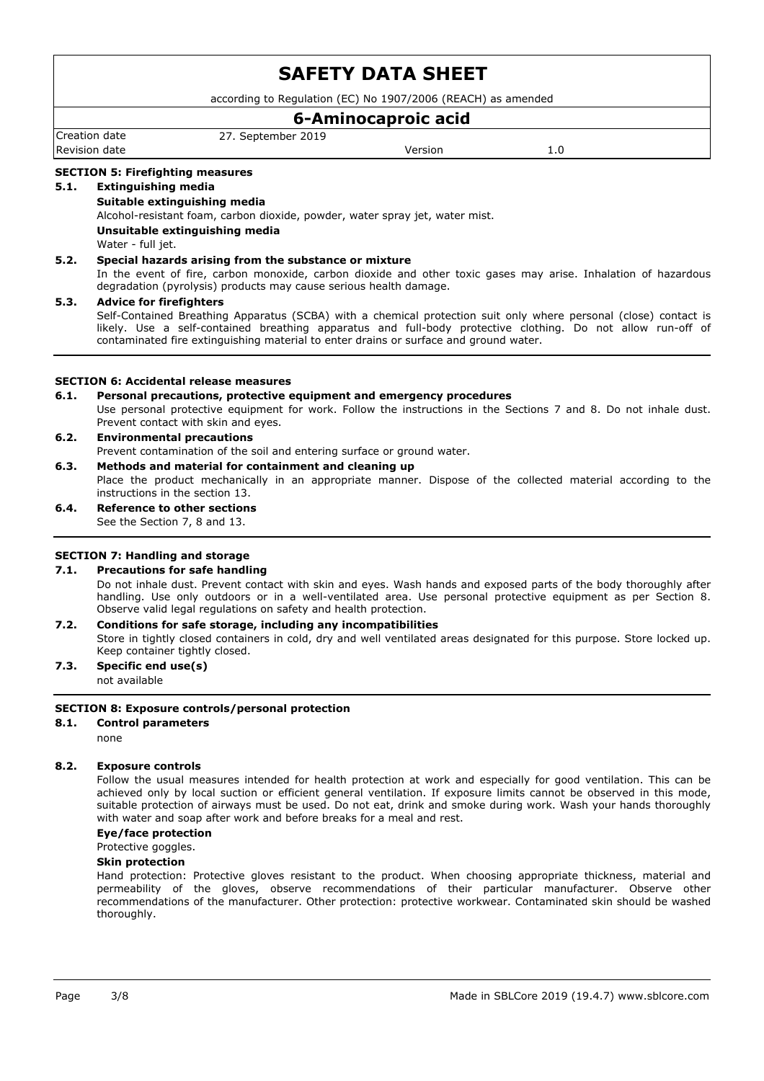according to Regulation (EC) No 1907/2006 (REACH) as amended

## **6-Aminocaproic acid**

Creation date 27. September 2019 Revision date and the Version of the Version of the Version of the Version of the Version of the Version of the Version of the Version of the Version of the Version of the Version of the Version of the Version of the Versi

### **SECTION 5: Firefighting measures**

### **5.1. Extinguishing media**

### **Suitable extinguishing media**

Alcohol-resistant foam, carbon dioxide, powder, water spray jet, water mist.

## **Unsuitable extinguishing media**

Water - full jet.

### **5.2. Special hazards arising from the substance or mixture**

In the event of fire, carbon monoxide, carbon dioxide and other toxic gases may arise. Inhalation of hazardous degradation (pyrolysis) products may cause serious health damage.

### **5.3. Advice for firefighters**

Self-Contained Breathing Apparatus (SCBA) with a chemical protection suit only where personal (close) contact is likely. Use a self-contained breathing apparatus and full-body protective clothing. Do not allow run-off of contaminated fire extinguishing material to enter drains or surface and ground water.

### **SECTION 6: Accidental release measures**

### **6.1. Personal precautions, protective equipment and emergency procedures**

Use personal protective equipment for work. Follow the instructions in the Sections 7 and 8. Do not inhale dust. Prevent contact with skin and eyes.

### **6.2. Environmental precautions** Prevent contamination of the soil and entering surface or ground water.

## **6.3. Methods and material for containment and cleaning up**

Place the product mechanically in an appropriate manner. Dispose of the collected material according to the instructions in the section 13.

**6.4. Reference to other sections** See the Section 7, 8 and 13.

### **SECTION 7: Handling and storage**

## **7.1. Precautions for safe handling**

Do not inhale dust. Prevent contact with skin and eyes. Wash hands and exposed parts of the body thoroughly after handling. Use only outdoors or in a well-ventilated area. Use personal protective equipment as per Section 8. Observe valid legal regulations on safety and health protection.

## **7.2. Conditions for safe storage, including any incompatibilities**

Store in tightly closed containers in cold, dry and well ventilated areas designated for this purpose. Store locked up. Keep container tightly closed.

### **7.3. Specific end use(s)** not available

### **SECTION 8: Exposure controls/personal protection**

### **8.1. Control parameters**

none

### **8.2. Exposure controls**

Follow the usual measures intended for health protection at work and especially for good ventilation. This can be achieved only by local suction or efficient general ventilation. If exposure limits cannot be observed in this mode, suitable protection of airways must be used. Do not eat, drink and smoke during work. Wash your hands thoroughly with water and soap after work and before breaks for a meal and rest.

### **Eye/face protection**

#### Protective goggles.

#### **Skin protection**

Hand protection: Protective gloves resistant to the product. When choosing appropriate thickness, material and permeability of the gloves, observe recommendations of their particular manufacturer. Observe other recommendations of the manufacturer. Other protection: protective workwear. Contaminated skin should be washed thoroughly.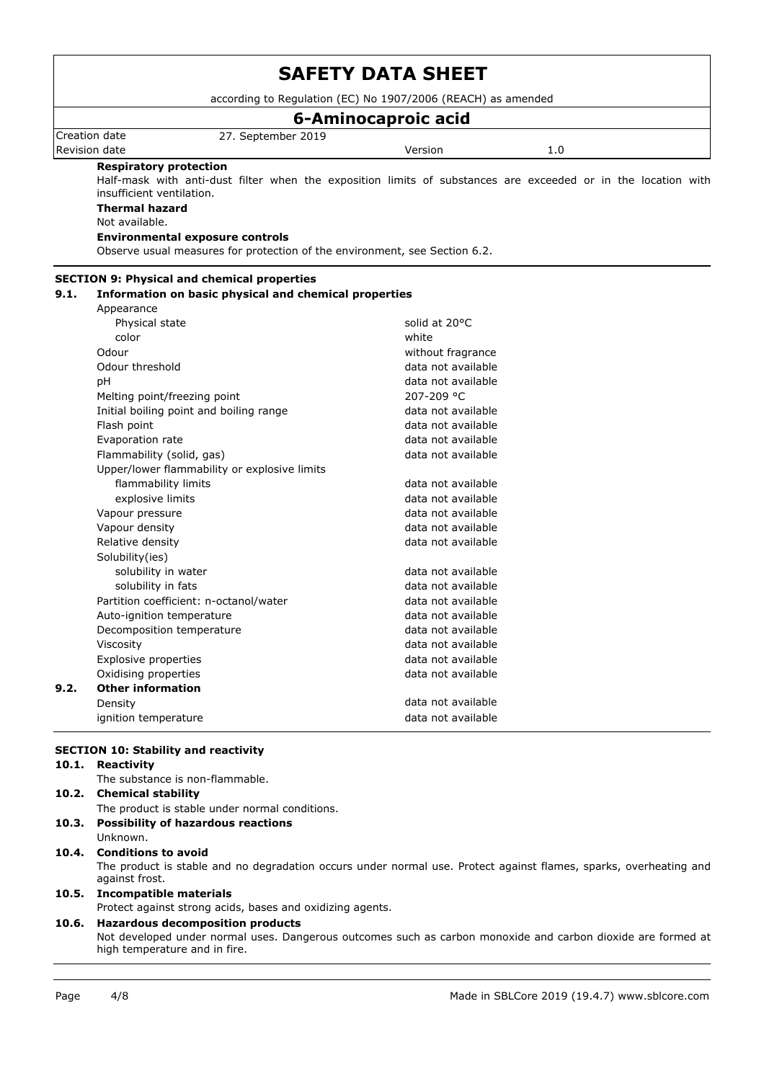|       | according to Regulation (EC) No 1907/2006 (REACH) as amended                                                                               |                     |     |  |  |  |  |  |  |  |  |  |
|-------|--------------------------------------------------------------------------------------------------------------------------------------------|---------------------|-----|--|--|--|--|--|--|--|--|--|
|       |                                                                                                                                            | 6-Aminocaproic acid |     |  |  |  |  |  |  |  |  |  |
|       | Creation date<br>27. September 2019                                                                                                        |                     |     |  |  |  |  |  |  |  |  |  |
|       | Revision date                                                                                                                              | Version             | 1.0 |  |  |  |  |  |  |  |  |  |
|       | <b>Respiratory protection</b>                                                                                                              |                     |     |  |  |  |  |  |  |  |  |  |
|       | Half-mask with anti-dust filter when the exposition limits of substances are exceeded or in the location with<br>insufficient ventilation. |                     |     |  |  |  |  |  |  |  |  |  |
|       | <b>Thermal hazard</b>                                                                                                                      |                     |     |  |  |  |  |  |  |  |  |  |
|       | Not available.                                                                                                                             |                     |     |  |  |  |  |  |  |  |  |  |
|       | <b>Environmental exposure controls</b>                                                                                                     |                     |     |  |  |  |  |  |  |  |  |  |
|       | Observe usual measures for protection of the environment, see Section 6.2.                                                                 |                     |     |  |  |  |  |  |  |  |  |  |
|       | <b>SECTION 9: Physical and chemical properties</b>                                                                                         |                     |     |  |  |  |  |  |  |  |  |  |
| 9.1.  | Information on basic physical and chemical properties                                                                                      |                     |     |  |  |  |  |  |  |  |  |  |
|       | Appearance                                                                                                                                 |                     |     |  |  |  |  |  |  |  |  |  |
|       | Physical state                                                                                                                             | solid at 20°C       |     |  |  |  |  |  |  |  |  |  |
|       | color                                                                                                                                      | white               |     |  |  |  |  |  |  |  |  |  |
|       | Odour                                                                                                                                      | without fragrance   |     |  |  |  |  |  |  |  |  |  |
|       | Odour threshold                                                                                                                            | data not available  |     |  |  |  |  |  |  |  |  |  |
|       | pH                                                                                                                                         | data not available  |     |  |  |  |  |  |  |  |  |  |
|       | Melting point/freezing point                                                                                                               | 207-209 °C          |     |  |  |  |  |  |  |  |  |  |
|       | Initial boiling point and boiling range                                                                                                    | data not available  |     |  |  |  |  |  |  |  |  |  |
|       | Flash point                                                                                                                                | data not available  |     |  |  |  |  |  |  |  |  |  |
|       | Evaporation rate                                                                                                                           | data not available  |     |  |  |  |  |  |  |  |  |  |
|       | Flammability (solid, gas)                                                                                                                  | data not available  |     |  |  |  |  |  |  |  |  |  |
|       | Upper/lower flammability or explosive limits                                                                                               |                     |     |  |  |  |  |  |  |  |  |  |
|       | flammability limits                                                                                                                        | data not available  |     |  |  |  |  |  |  |  |  |  |
|       | explosive limits                                                                                                                           | data not available  |     |  |  |  |  |  |  |  |  |  |
|       | Vapour pressure                                                                                                                            | data not available  |     |  |  |  |  |  |  |  |  |  |
|       | Vapour density                                                                                                                             | data not available  |     |  |  |  |  |  |  |  |  |  |
|       | Relative density                                                                                                                           | data not available  |     |  |  |  |  |  |  |  |  |  |
|       | Solubility(ies)                                                                                                                            |                     |     |  |  |  |  |  |  |  |  |  |
|       | solubility in water                                                                                                                        | data not available  |     |  |  |  |  |  |  |  |  |  |
|       | solubility in fats                                                                                                                         | data not available  |     |  |  |  |  |  |  |  |  |  |
|       | Partition coefficient: n-octanol/water                                                                                                     | data not available  |     |  |  |  |  |  |  |  |  |  |
|       | Auto-ignition temperature                                                                                                                  | data not available  |     |  |  |  |  |  |  |  |  |  |
|       | Decomposition temperature                                                                                                                  | data not available  |     |  |  |  |  |  |  |  |  |  |
|       | Viscosity                                                                                                                                  | data not available  |     |  |  |  |  |  |  |  |  |  |
|       | Explosive properties                                                                                                                       | data not available  |     |  |  |  |  |  |  |  |  |  |
|       | Oxidising properties                                                                                                                       | data not available  |     |  |  |  |  |  |  |  |  |  |
| 9.2.  | <b>Other information</b>                                                                                                                   |                     |     |  |  |  |  |  |  |  |  |  |
|       | Density                                                                                                                                    | data not available  |     |  |  |  |  |  |  |  |  |  |
|       | ignition temperature                                                                                                                       | data not available  |     |  |  |  |  |  |  |  |  |  |
|       |                                                                                                                                            |                     |     |  |  |  |  |  |  |  |  |  |
|       | <b>SECTION 10: Stability and reactivity</b>                                                                                                |                     |     |  |  |  |  |  |  |  |  |  |
| 10.1. | <b>Reactivity</b>                                                                                                                          |                     |     |  |  |  |  |  |  |  |  |  |

The substance is non-flammable.

## **10.2. Chemical stability** The product is stable under normal conditions.

- **10.3. Possibility of hazardous reactions**
- Unknown.

**10.4. Conditions to avoid**

The product is stable and no degradation occurs under normal use. Protect against flames, sparks, overheating and against frost.

## **10.5. Incompatible materials**

Protect against strong acids, bases and oxidizing agents.

# **10.6. Hazardous decomposition products**

Not developed under normal uses. Dangerous outcomes such as carbon monoxide and carbon dioxide are formed at high temperature and in fire.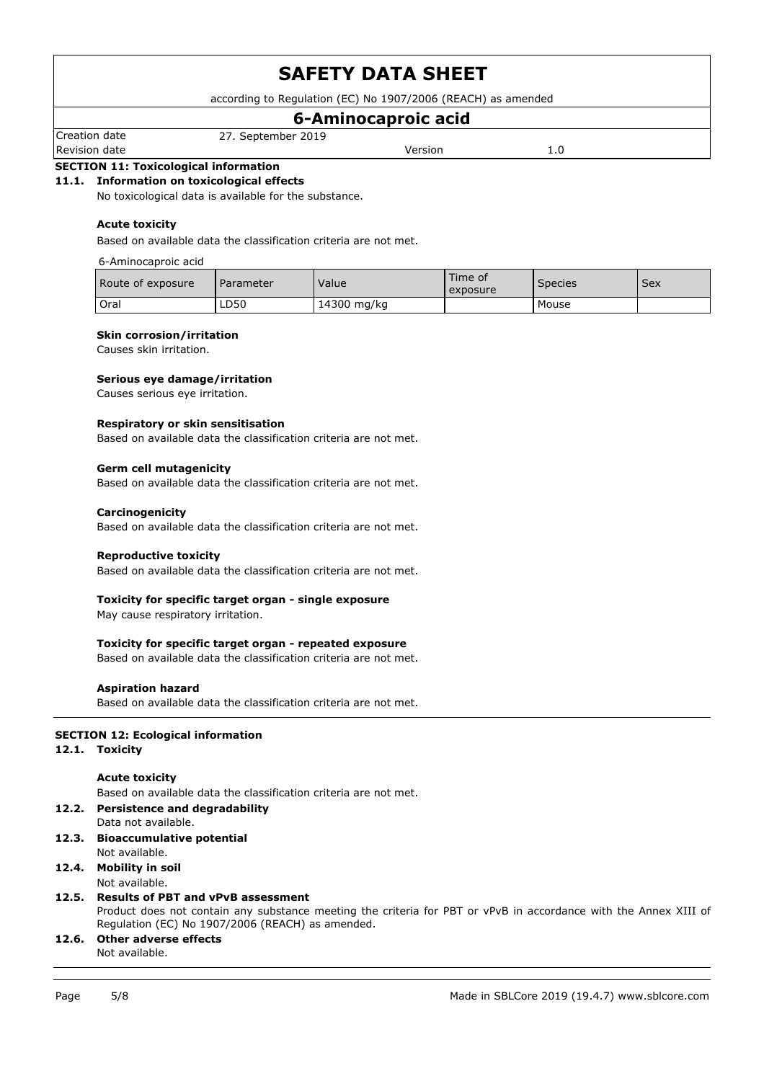according to Regulation (EC) No 1907/2006 (REACH) as amended

# **6-Aminocaproic acid**

Creation date 27. September 2019 Revision date **Version** 2.0

## **SECTION 11: Toxicological information**

### **11.1. Information on toxicological effects**

No toxicological data is available for the substance.

### **Acute toxicity**

Based on available data the classification criteria are not met.

### 6-Aminocaproic acid

| Route of exposure | Parameter | Value       | Time of<br>exposure | <b>Species</b> | Sex |
|-------------------|-----------|-------------|---------------------|----------------|-----|
| Oral              | LD50      | 14300 mg/kg |                     | Mouse          |     |

#### **Skin corrosion/irritation**

Causes skin irritation.

### **Serious eye damage/irritation**

Causes serious eye irritation.

#### **Respiratory or skin sensitisation**

Based on available data the classification criteria are not met.

### **Germ cell mutagenicity**

Based on available data the classification criteria are not met.

### **Carcinogenicity**

Based on available data the classification criteria are not met.

#### **Reproductive toxicity**

Based on available data the classification criteria are not met.

### **Toxicity for specific target organ - single exposure**

May cause respiratory irritation.

### **Toxicity for specific target organ - repeated exposure**

Based on available data the classification criteria are not met.

### **Aspiration hazard**

Based on available data the classification criteria are not met.

### **SECTION 12: Ecological information**

## **12.1. Toxicity**

### **Acute toxicity**

Based on available data the classification criteria are not met.

## **12.2. Persistence and degradability**

- Data not available.
- **12.3. Bioaccumulative potential** Not available.

## **12.4. Mobility in soil**

Not available.

### **12.5. Results of PBT and vPvB assessment**

Product does not contain any substance meeting the criteria for PBT or vPvB in accordance with the Annex XIII of Regulation (EC) No 1907/2006 (REACH) as amended.

#### **12.6. Other adverse effects** Not available.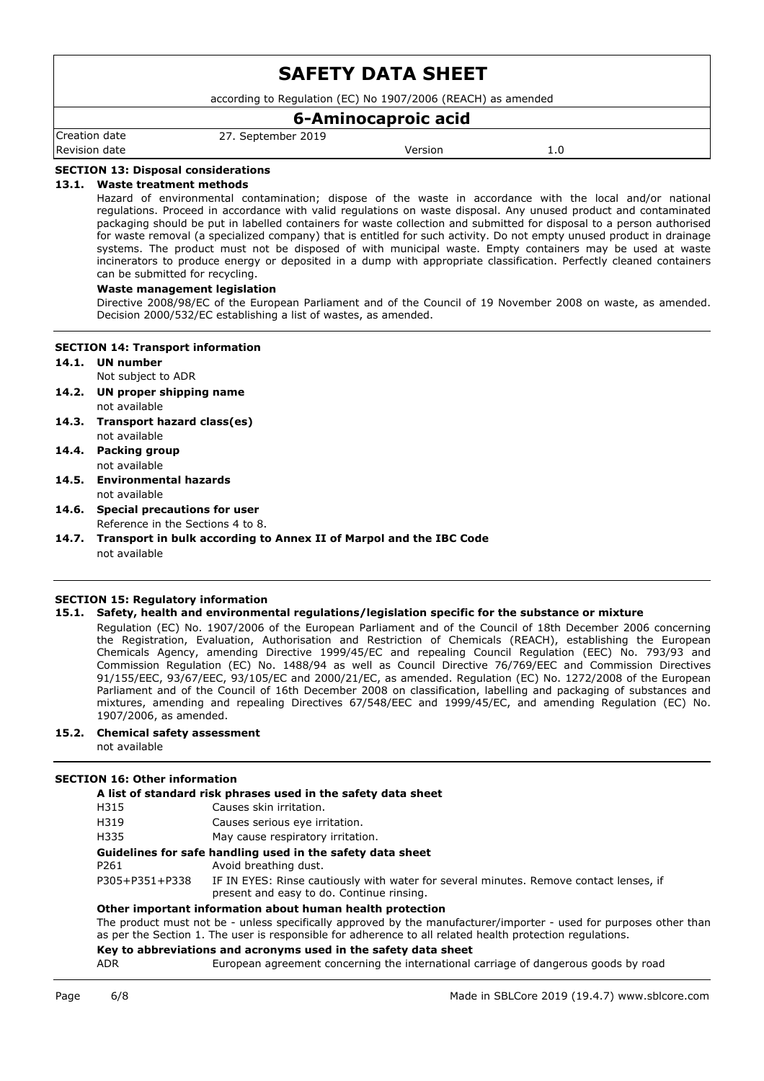according to Regulation (EC) No 1907/2006 (REACH) as amended

## **6-Aminocaproic acid**

Creation date 27. September 2019 Revision date and the Version of the Version of the Version of the Version of the Version of the Version of the Version of the Version of the Version of the Version of the Version of the Version of the Version of the Versi

## **SECTION 13: Disposal considerations**

### **13.1. Waste treatment methods**

Hazard of environmental contamination; dispose of the waste in accordance with the local and/or national regulations. Proceed in accordance with valid regulations on waste disposal. Any unused product and contaminated packaging should be put in labelled containers for waste collection and submitted for disposal to a person authorised for waste removal (a specialized company) that is entitled for such activity. Do not empty unused product in drainage systems. The product must not be disposed of with municipal waste. Empty containers may be used at waste incinerators to produce energy or deposited in a dump with appropriate classification. Perfectly cleaned containers can be submitted for recycling.

## **Waste management legislation**

Directive 2008/98/EC of the European Parliament and of the Council of 19 November 2008 on waste, as amended. Decision 2000/532/EC establishing a list of wastes, as amended.

### **SECTION 14: Transport information**

- **14.1. UN number**
- Not subject to ADR
- **14.2. UN proper shipping name** not available
- **14.3. Transport hazard class(es)** not available
- **14.4. Packing group** not available
- **14.5. Environmental hazards** not available
- **14.6. Special precautions for user** Reference in the Sections 4 to 8.
- **14.7. Transport in bulk according to Annex II of Marpol and the IBC Code** not available

### **SECTION 15: Regulatory information**

## **15.1. Safety, health and environmental regulations/legislation specific for the substance or mixture**

Regulation (EC) No. 1907/2006 of the European Parliament and of the Council of 18th December 2006 concerning the Registration, Evaluation, Authorisation and Restriction of Chemicals (REACH), establishing the European Chemicals Agency, amending Directive 1999/45/EC and repealing Council Regulation (EEC) No. 793/93 and Commission Regulation (EC) No. 1488/94 as well as Council Directive 76/769/EEC and Commission Directives 91/155/EEC, 93/67/EEC, 93/105/EC and 2000/21/EC, as amended. Regulation (EC) No. 1272/2008 of the European Parliament and of the Council of 16th December 2008 on classification, labelling and packaging of substances and mixtures, amending and repealing Directives 67/548/EEC and 1999/45/EC, and amending Regulation (EC) No. 1907/2006, as amended.

## **15.2. Chemical safety assessment**

not available

## **SECTION 16: Other information**

| A list of standard risk phrases used in the safety data sheet |                                                                                                                                     |  |  |  |  |  |  |  |  |
|---------------------------------------------------------------|-------------------------------------------------------------------------------------------------------------------------------------|--|--|--|--|--|--|--|--|
| H315                                                          | Causes skin irritation.                                                                                                             |  |  |  |  |  |  |  |  |
| H319                                                          | Causes serious eye irritation.                                                                                                      |  |  |  |  |  |  |  |  |
| H335                                                          | May cause respiratory irritation.                                                                                                   |  |  |  |  |  |  |  |  |
|                                                               | Guidelines for safe handling used in the safety data sheet                                                                          |  |  |  |  |  |  |  |  |
| P261                                                          | Avoid breathing dust.                                                                                                               |  |  |  |  |  |  |  |  |
| P305+P351+P338                                                | IF IN EYES: Rinse cautiously with water for several minutes. Remove contact lenses, if<br>present and easy to do. Continue rinsing. |  |  |  |  |  |  |  |  |
| Other important information about human health protection     |                                                                                                                                     |  |  |  |  |  |  |  |  |

The product must not be - unless specifically approved by the manufacturer/importer - used for purposes other than as per the Section 1. The user is responsible for adherence to all related health protection regulations.

### **Key to abbreviations and acronyms used in the safety data sheet**

ADR European agreement concerning the international carriage of dangerous goods by road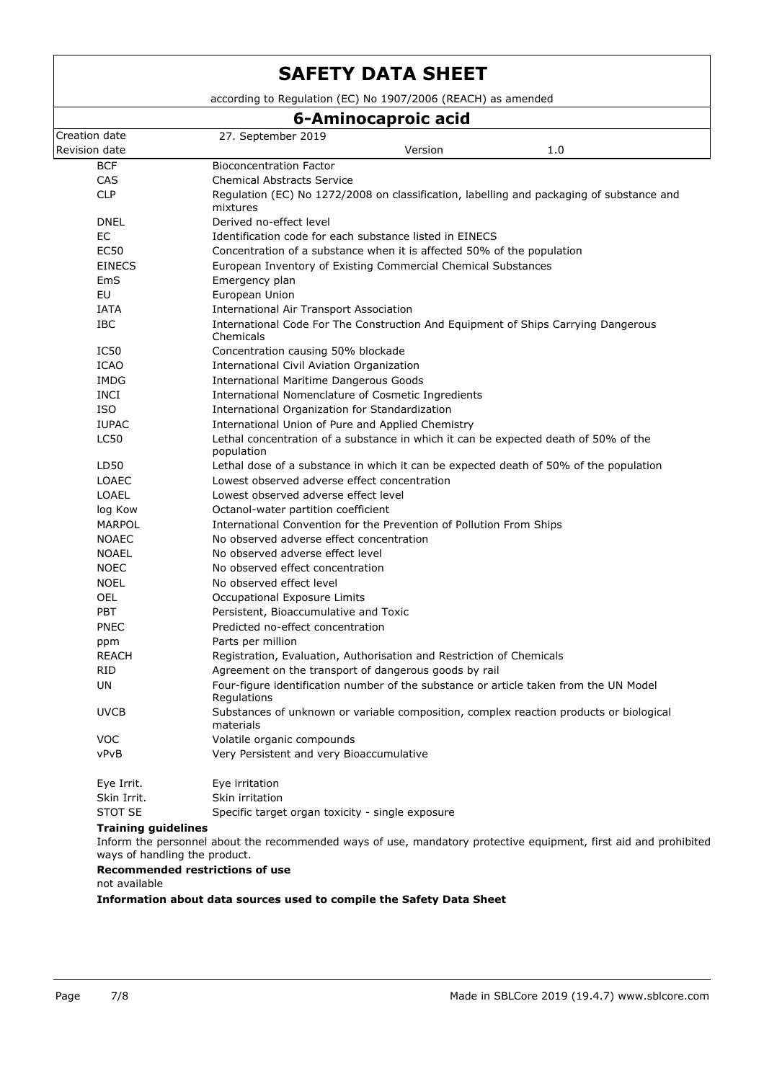Creation date 27. September 2019 Revision date and the Version of the Version of the Version of the Version of the Version of the Version of the Version of the Version of the Version of the Version of the Version of the Version of the Version of the Versi **SAFETY DATA SHEET** according to Regulation (EC) No 1907/2006 (REACH) as amended **6-Aminocaproic acid** BCF Bioconcentration Factor CAS Chemical Abstracts Service CLP Regulation (EC) No 1272/2008 on classification, labelling and packaging of substance and mixtures DNEL Derived no-effect level EC Identification code for each substance listed in EINECS EC50 Concentration of a substance when it is affected 50% of the population EINECS European Inventory of Existing Commercial Chemical Substances EmS Emergency plan EU European Union IATA International Air Transport Association IBC International Code For The Construction And Equipment of Ships Carrying Dangerous Chemicals IC50 Concentration causing 50% blockade ICAO International Civil Aviation Organization IMDG International Maritime Dangerous Goods INCI International Nomenclature of Cosmetic Ingredients ISO International Organization for Standardization IUPAC International Union of Pure and Applied Chemistry LC50 Lethal concentration of a substance in which it can be expected death of 50% of the population LD50 Lethal dose of a substance in which it can be expected death of 50% of the population LOAEC Lowest observed adverse effect concentration LOAEL Lowest observed adverse effect level log Kow Octanol-water partition coefficient MARPOL **International Convention for the Prevention of Pollution From Ships** NOAEC No observed adverse effect concentration NOAEL No observed adverse effect level NOEC No observed effect concentration NOEL No observed effect level OEL Occupational Exposure Limits PBT Persistent, Bioaccumulative and Toxic PNEC Predicted no-effect concentration ppm Parts per million REACH Registration, Evaluation, Authorisation and Restriction of Chemicals RID Agreement on the transport of dangerous goods by rail UN Four-figure identification number of the substance or article taken from the UN Model Regulations UVCB Substances of unknown or variable composition, complex reaction products or biological materials VOC Volatile organic compounds vPvB Very Persistent and very Bioaccumulative Eye Irrit. Eye irritation Skin Irrit. Skin irritation STOT SE Specific target organ toxicity - single exposure **Training guidelines**

Inform the personnel about the recommended ways of use, mandatory protective equipment, first aid and prohibited ways of handling the product.

### **Recommended restrictions of use**

not available

**Information about data sources used to compile the Safety Data Sheet**